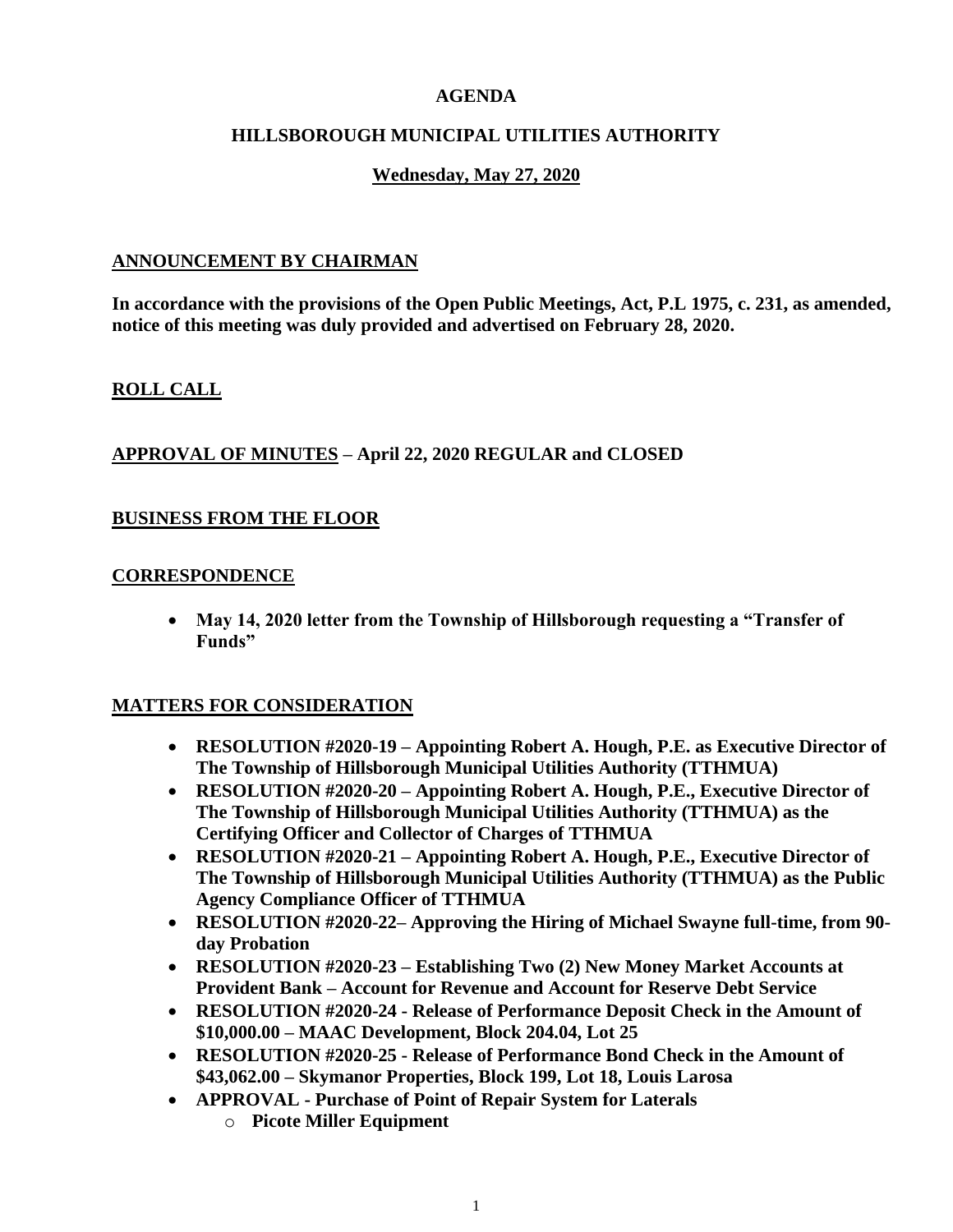### **AGENDA**

### **HILLSBOROUGH MUNICIPAL UTILITIES AUTHORITY**

## **Wednesday, May 27, 2020**

### **ANNOUNCEMENT BY CHAIRMAN**

**In accordance with the provisions of the Open Public Meetings, Act, P.L 1975, c. 231, as amended, notice of this meeting was duly provided and advertised on February 28, 2020.**

## **ROLL CALL**

### **APPROVAL OF MINUTES – April 22, 2020 REGULAR and CLOSED**

### **BUSINESS FROM THE FLOOR**

#### **CORRESPONDENCE**

• **May 14, 2020 letter from the Township of Hillsborough requesting a "Transfer of Funds"**

#### **MATTERS FOR CONSIDERATION**

- **RESOLUTION #2020-19 – Appointing Robert A. Hough, P.E. as Executive Director of The Township of Hillsborough Municipal Utilities Authority (TTHMUA)**
- **RESOLUTION #2020-20 – Appointing Robert A. Hough, P.E., Executive Director of The Township of Hillsborough Municipal Utilities Authority (TTHMUA) as the Certifying Officer and Collector of Charges of TTHMUA**
- **RESOLUTION #2020-21 – Appointing Robert A. Hough, P.E., Executive Director of The Township of Hillsborough Municipal Utilities Authority (TTHMUA) as the Public Agency Compliance Officer of TTHMUA**
- **RESOLUTION #2020-22– Approving the Hiring of Michael Swayne full-time, from 90 day Probation**
- **RESOLUTION #2020-23 – Establishing Two (2) New Money Market Accounts at Provident Bank – Account for Revenue and Account for Reserve Debt Service**
- **RESOLUTION #2020-24 - Release of Performance Deposit Check in the Amount of \$10,000.00 – MAAC Development, Block 204.04, Lot 25**
- **RESOLUTION #2020-25 - Release of Performance Bond Check in the Amount of \$43,062.00 – Skymanor Properties, Block 199, Lot 18, Louis Larosa**
- **APPROVAL - Purchase of Point of Repair System for Laterals** o **Picote Miller Equipment**